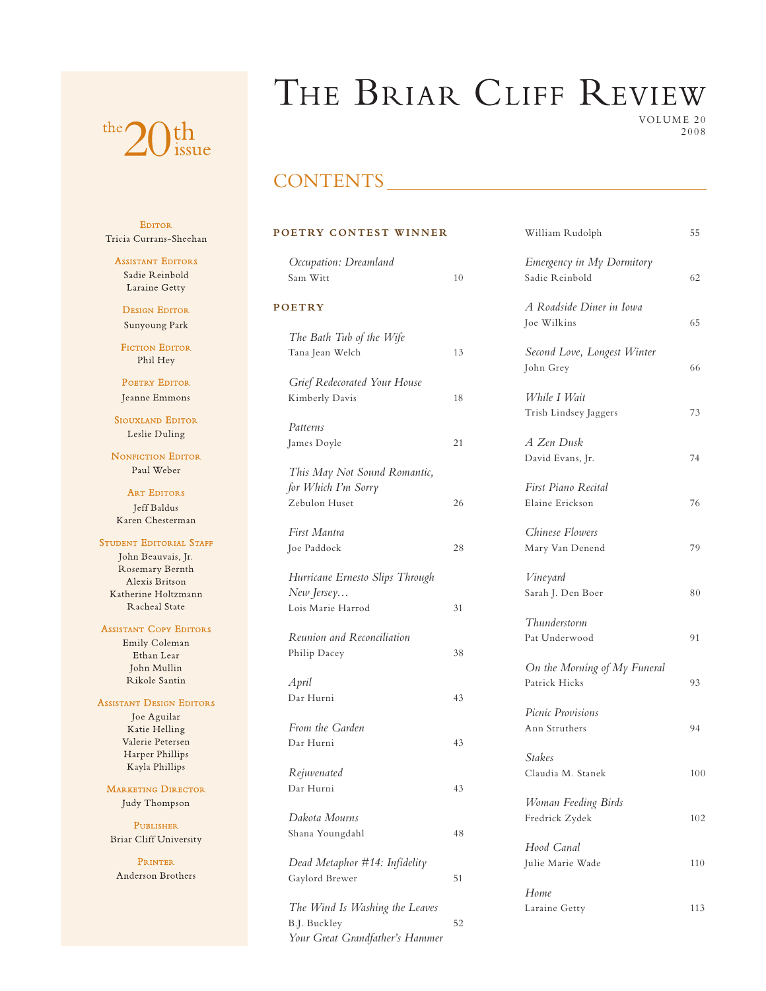# THE BRIAR CLIFF REVIEW



VOLUME 20 2008

## **CONTENTS**

April

B.J. Buckley

Your Great Grandfather's Hammer

#### POETRY CONTEST WINNER William Rudolph 55 Occupation: Dreamland Emergency in My Dormitory Sam Witt 10 Sadie Reinbold 62 A Roadside Diner in Iowa **POETRY** Joe Wilkins 65 The Bath Tub of the Wife Tana Jean Welch Second Love, Longest Winter 13 John Grey 66 Grief Redecorated Your House While I Wait Kimberly Davis 18 Trish Lindsey Jaggers 73 Patterns James Doyle 21 A Zen Dusk David Evans, Jr. 74 This May Not Sound Romantic, for Which I'm Sorry First Piano Recital Zebulon Huset Elaine Erickson 26 76 First Mantra Chinese Flowers **Joe Paddock** 28 Mary Van Denend 79 Hurricane Ernesto Slips Through Vineyard New Jersey... Sarah J. Den Boer 80 Lois Marie Harrod 31 Thunderstorm Reunion and Reconciliation Pat Underwood 91 Philip Dacey 38 On the Morning of My Funeral Patrick Hicks  $93$ Dar Hurni 43 Picnic Provisions From the Garden Ann Struthers 94 Dar Hurni  $43$ **Stakes** Rejuvenated Claudia M. Stanek 100 Dar Hurni  $4.3$ Woman Feeding Birds Dakota Mourns Fredrick Zydek  $102$ Shana Youngdahl 48 Hood Canal Dead Metaphor #14: Infidelity Julie Marie Wade 110 Gaylord Brewer 51 Home The Wind Is Washing the Leaves Laraine Getty 113

 $52$ 

**EDITOR** Tricia Currans-Sheehan

**ASSISTANT EDITORS** Sadie Reinbold Laraine Getty

**DESIGN EDITOR** Sunyoung Park

**FICTION EDITOR** Phil Hey

**POETRY EDITOR** Jeanne Emmons

SIOUXLAND EDITOR Leslie Duling

**NONFICTION EDITOR** Paul Weber

**ART EDITORS** Jeff Baldus Karen Chesterman

#### **STUDENT EDITORIAL STAFF**

John Beauvais, Jr. Rosemary Bernth Alexis Britson Katherine Holtzmann Racheal State

#### **ASSISTANT COPY EDITORS**

Emily Coleman Ethan Lear John Mullin Rikole Santin

#### **ASSISTANT DESIGN EDITORS**

Joe Aguilar Katie Helling Valerie Petersen Harper Phillips Kayla Phillips

### **MARKETING DIRECTOR**

Judy Thompson

**PUBLISHER Briar Cliff University** 

**PRINTER** Anderson Brothers